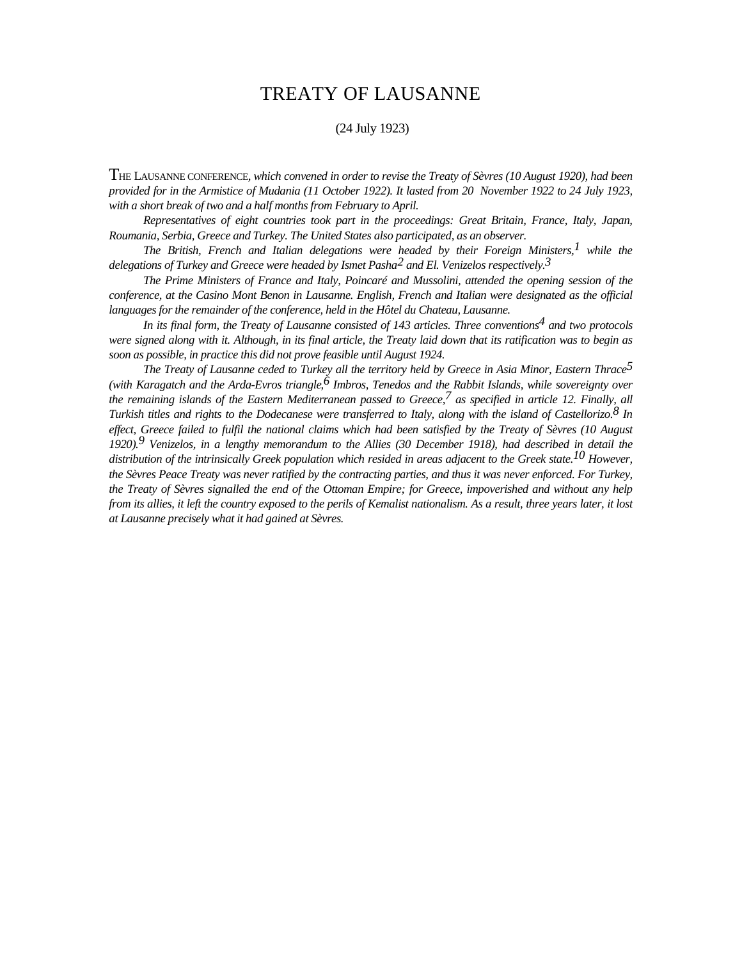# TREATY OF LAUSANNE

### (24 July 1923)

THE LAUSANNE CONFERENCE*, which convened in order to revise the Treaty of Sèvres (10 August 1920), had been provided for in the Armistice of Mudania (11 October 1922). It lasted from 20 November 1922 to 24 July 1923, with a short break of two and a half months from February to April.*

*Representatives of eight countries took part in the proceedings: Great Britain, France, Italy, Japan, Roumania, Serbia, Greece and Turkey. The United States also participated, as an observer.*

*The British, French and Italian delegations were headed by their Foreign Ministers,1 while the delegations of Turkey and Greece were headed by Ismet Pasha2 and El. Venizelos respectively.3*

*The Prime Ministers of France and Italy, Poincaré and Mussolini, attended the opening session of the conference, at the Casino Mont Benon in Lausanne. English, French and Italian were designated as the official languages for the remainder of the conference, held in the Hôtel du Chateau, Lausanne.*

*In its final form, the Treaty of Lausanne consisted of 143 articles. Three conventions4 and two protocols were signed along with it. Although, in its final article, the Treaty laid down that its ratification was to begin as soon as possible, in practice this did not prove feasible until August 1924.*

*The Treaty of Lausanne ceded to Turkey all the territory held by Greece in Asia Minor, Eastern Thrace5 (with Karagatch and the Arda-Evros triangle, 6 Imbros, Tenedos and the Rabbit Islands, while sovereignty over the remaining islands of the Eastern Mediterranean passed to Greece,7 as specified in article 12. Finally, all Turkish titles and rights to the Dodecanese were transferred to Italy, along with the island of Castellorizo.8 In*  effect, Greece failed to fulfil the national claims which had been satisfied by the Treaty of Sèvres (10 August *1920).9 Venizelos, in a lengthy memorandum to the Allies (30 December 1918), had described in detail the distribution of the intrinsically Greek population which resided in areas adjacent to the Greek state.10 However, the Sèvres Peace Treaty was never ratified by the contracting parties, and thus it was never enforced. For Turkey, the Treaty of Sèvres signalled the end of the Ottoman Empire; for Greece, impoverished and without any help from its allies, it left the country exposed to the perils of Kemalist nationalism. As a result, three years later, it lost at Lausanne precisely what it had gained at Sèvres.*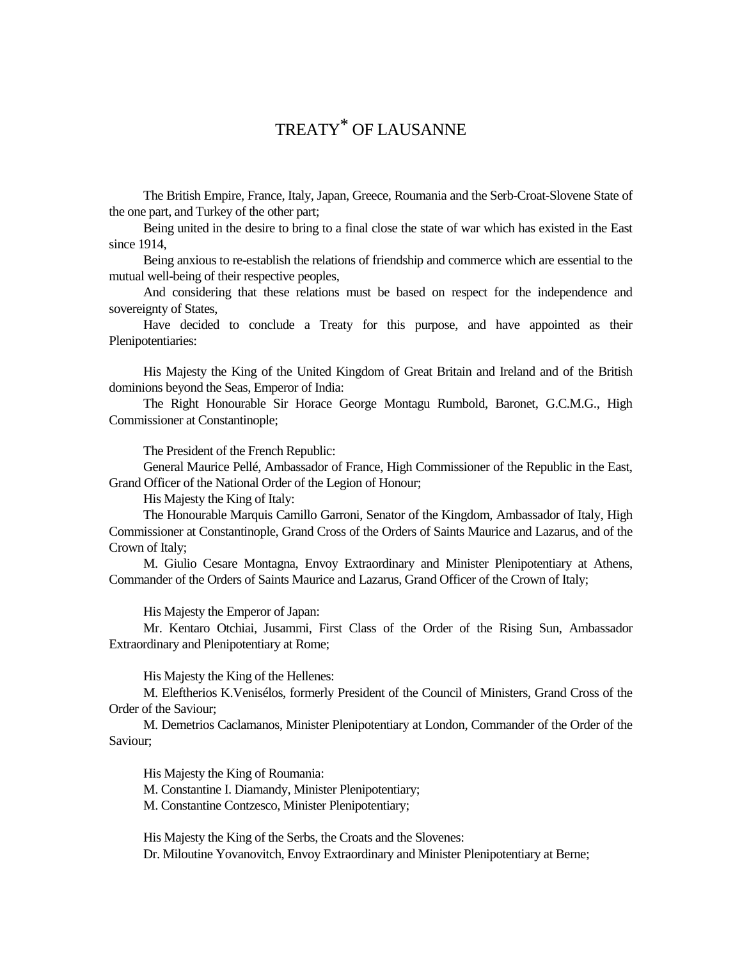# TREATY\* OF LAUSANNE

The British Empire, France, Italy, Japan, Greece, Roumania and the Serb-Croat-Slovene State of the one part, and Turkey of the other part;

Being united in the desire to bring to a final close the state of war which has existed in the East since 1914.

Being anxious to re-establish the relations of friendship and commerce which are essential to the mutual well-being of their respective peoples,

And considering that these relations must be based on respect for the independence and sovereignty of States,

Have decided to conclude a Treaty for this purpose, and have appointed as their Plenipotentiaries:

His Majesty the King of the United Kingdom of Great Britain and Ireland and of the British dominions beyond the Seas, Emperor of India:

The Right Honourable Sir Horace George Montagu Rumbold, Baronet, G.C.M.G., High Commissioner at Constantinople;

The President of the French Republic:

General Maurice Pellé, Ambassador of France, High Commissioner of the Republic in the East, Grand Officer of the National Order of the Legion of Honour;

His Majesty the King of Italy:

The Honourable Marquis Camillo Garroni, Senator of the Kingdom, Ambassador of Italy, High Commissioner at Constantinople, Grand Cross of the Orders of Saints Maurice and Lazarus, and of the Crown of Italy;

M. Giulio Cesare Montagna, Envoy Extraordinary and Minister Plenipotentiary at Athens, Commander of the Orders of Saints Maurice and Lazarus, Grand Officer of the Crown of Italy;

His Majesty the Emperor of Japan:

Mr. Kentaro Otchiai, Jusammi, First Class of the Order of the Rising Sun, Ambassador Extraordinary and Plenipotentiary at Rome;

His Majesty the King of the Hellenes:

M. Eleftherios K.Venisélos, formerly President of the Council of Ministers, Grand Cross of the Order of the Saviour;

M. Demetrios Caclamanos, Minister Plenipotentiary at London, Commander of the Order of the Saviour;

His Majesty the King of Roumania:

M. Constantine I. Diamandy, Minister Plenipotentiary;

M. Constantine Contzesco, Minister Plenipotentiary;

His Majesty the King of the Serbs, the Croats and the Slovenes:

Dr. Miloutine Yovanovitch, Envoy Extraordinary and Minister Plenipotentiary at Berne;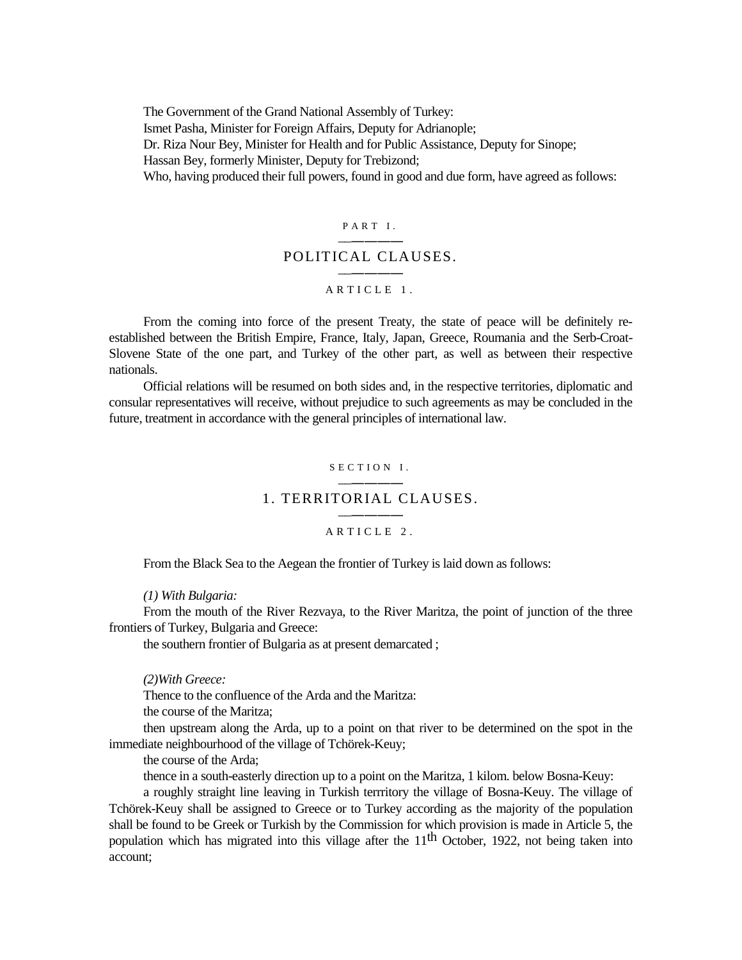The Government of the Grand National Assembly of Turkey: Ismet Pasha, Minister for Foreign Affairs, Deputy for Adrianople; Dr. Riza Nour Bey, Minister for Health and for Public Assistance, Deputy for Sinope; Hassan Bey, formerly Minister, Deputy for Trebizond; Who, having produced their full powers, found in good and due form, have agreed as follows:

### PART I. ––――――

### POLITICAL CLAUSES.

### ––―――― ARTICLE 1.

From the coming into force of the present Treaty, the state of peace will be definitely reestablished between the British Empire, France, Italy, Japan, Greece, Roumania and the Serb-Croat-Slovene State of the one part, and Turkey of the other part, as well as between their respective nationals.

Official relations will be resumed on both sides and, in the respective territories, diplomatic and consular representatives will receive, without prejudice to such agreements as may be concluded in the future, treatment in accordance with the general principles of international law.

### SECTION I. ––――――

### 1. TERRITORIAL CLAUSES.

### ––―――― ARTICLE 2.

From the Black Sea to the Aegean the frontier of Turkey is laid down as follows:

### *(1) With Bulgaria:*

From the mouth of the River Rezvaya, to the River Maritza, the point of junction of the three frontiers of Turkey, Bulgaria and Greece:

the southern frontier of Bulgaria as at present demarcated ;

#### *(2)With Greece:*

Thence to the confluence of the Arda and the Maritza:

the course of the Maritza;

then upstream along the Arda, up to a point on that river to be determined on the spot in the immediate neighbourhood of the village of Tchörek-Keuy;

the course of the Arda;

thence in a south-easterly direction up to a point on the Maritza, 1 kilom. below Bosna-Keuy:

a roughly straight line leaving in Turkish terrritory the village of Bosna-Keuy. The village of Tchörek-Keuy shall be assigned to Greece or to Turkey according as the majority of the population shall be found to be Greek or Turkish by the Commission for which provision is made in Article 5, the population which has migrated into this village after the  $11<sup>th</sup>$  October, 1922, not being taken into account;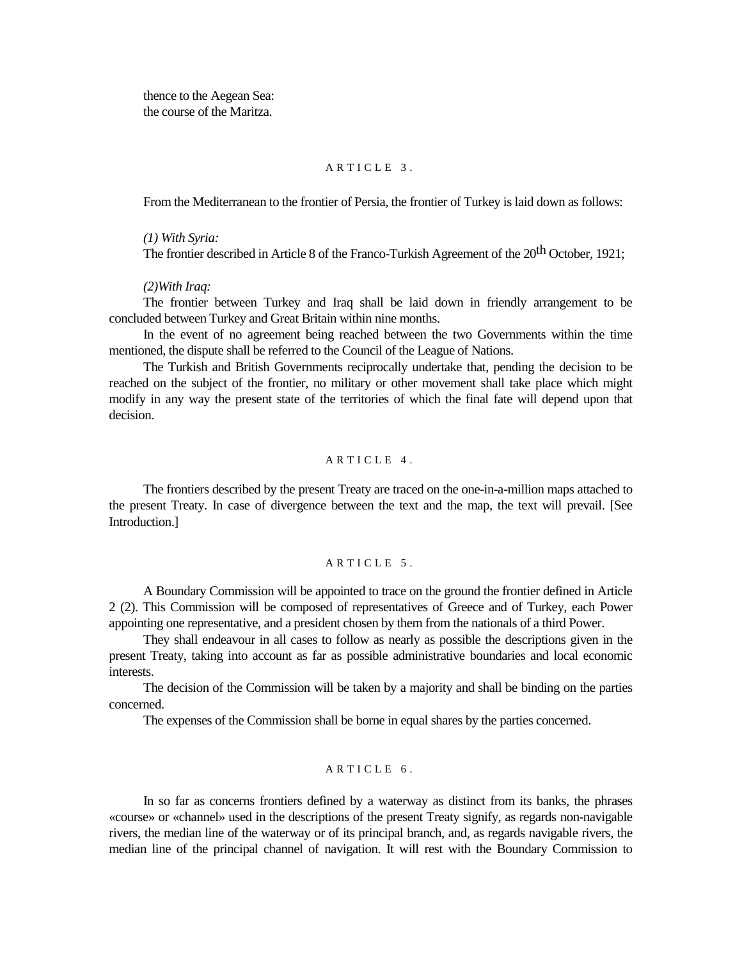thence to the Aegean Sea: the course of the Maritza.

#### ARTICLE 3.

From the Mediterranean to the frontier of Persia, the frontier of Turkey is laid down as follows:

#### *(1) With Syria:*

The frontier described in Article 8 of the Franco-Turkish Agreement of the 20<sup>th</sup> October, 1921;

#### *(2)With Iraq:*

The frontier between Turkey and Iraq shall be laid down in friendly arrangement to be concluded between Turkey and Great Britain within nine months.

In the event of no agreement being reached between the two Governments within the time mentioned, the dispute shall be referred to the Council of the League of Nations.

The Turkish and British Governments reciprocally undertake that, pending the decision to be reached on the subject of the frontier, no military or other movement shall take place which might modify in any way the present state of the territories of which the final fate will depend upon that decision.

### ARTICLE 4.

The frontiers described by the present Treaty are traced on the one-in-a-million maps attached to the present Treaty. In case of divergence between the text and the map, the text will prevail. [See Introduction.]

#### ARTICLE 5.

A Boundary Commission will be appointed to trace on the ground the frontier defined in Article 2 (2). This Commission will be composed of representatives of Greece and of Turkey, each Power appointing one representative, and a president chosen by them from the nationals of a third Power.

They shall endeavour in all cases to follow as nearly as possible the descriptions given in the present Treaty, taking into account as far as possible administrative boundaries and local economic interests.

The decision of the Commission will be taken by a majority and shall be binding on the parties concerned.

The expenses of the Commission shall be borne in equal shares by the parties concerned.

### ARTICLE 6.

In so far as concerns frontiers defined by a waterway as distinct from its banks, the phrases «course» or «channel» used in the descriptions of the present Treaty signify, as regards non-navigable rivers, the median line of the waterway or of its principal branch, and, as regards navigable rivers, the median line of the principal channel of navigation. It will rest with the Boundary Commission to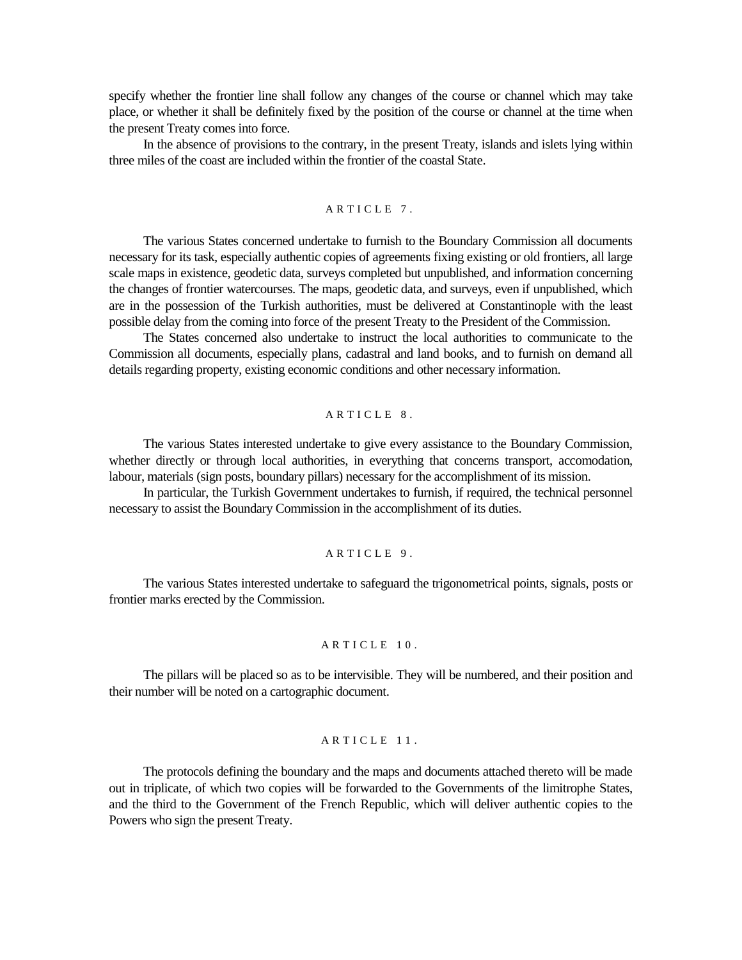specify whether the frontier line shall follow any changes of the course or channel which may take place, or whether it shall be definitely fixed by the position of the course or channel at the time when the present Treaty comes into force.

In the absence of provisions to the contrary, in the present Treaty, islands and islets lying within three miles of the coast are included within the frontier of the coastal State.

### ARTICLE 7.

The various States concerned undertake to furnish to the Boundary Commission all documents necessary for its task, especially authentic copies of agreements fixing existing or old frontiers, all large scale maps in existence, geodetic data, surveys completed but unpublished, and information concerning the changes of frontier watercourses. The maps, geodetic data, and surveys, even if unpublished, which are in the possession of the Turkish authorities, must be delivered at Constantinople with the least possible delay from the coming into force of the present Treaty to the President of the Commission.

The States concerned also undertake to instruct the local authorities to communicate to the Commission all documents, especially plans, cadastral and land books, and to furnish on demand all details regarding property, existing economic conditions and other necessary information.

### ARTICLE 8.

The various States interested undertake to give every assistance to the Boundary Commission, whether directly or through local authorities, in everything that concerns transport, accomodation, labour, materials (sign posts, boundary pillars) necessary for the accomplishment of its mission.

In particular, the Turkish Government undertakes to furnish, if required, the technical personnel necessary to assist the Boundary Commission in the accomplishment of its duties.

#### ARTICLE 9.

The various States interested undertake to safeguard the trigonometrical points, signals, posts or frontier marks erected by the Commission.

#### ARTICLE 10.

The pillars will be placed so as to be intervisible. They will be numbered, and their position and their number will be noted on a cartographic document.

### ARTICLE 11.

The protocols defining the boundary and the maps and documents attached thereto will be made out in triplicate, of which two copies will be forwarded to the Governments of the limitrophe States, and the third to the Government of the French Republic, which will deliver authentic copies to the Powers who sign the present Treaty.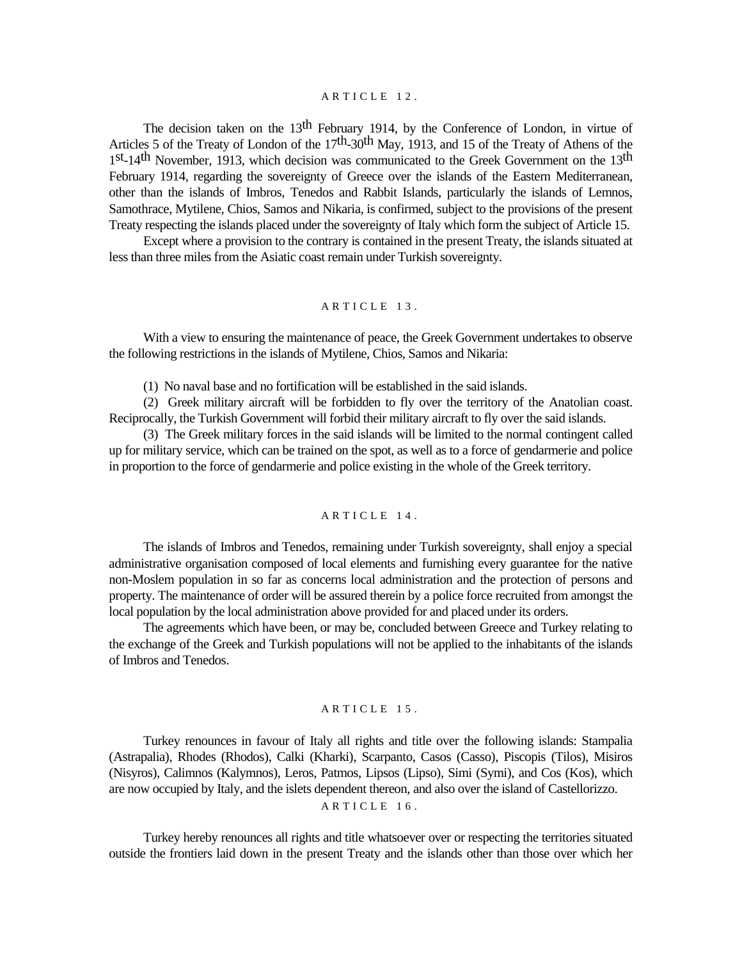#### ARTICLE 12.

The decision taken on the 13<sup>th</sup> February 1914, by the Conference of London, in virtue of Articles 5 of the Treaty of London of the  $17<sup>th</sup>$ -30<sup>th</sup> May, 1913, and 15 of the Treaty of Athens of the 1st-14<sup>th</sup> November, 1913, which decision was communicated to the Greek Government on the 13<sup>th</sup> February 1914, regarding the sovereignty of Greece over the islands of the Eastern Mediterranean, other than the islands of Imbros, Tenedos and Rabbit Islands, particularly the islands of Lemnos, Samothrace, Mytilene, Chios, Samos and Nikaria, is confirmed, subject to the provisions of the present Treaty respecting the islands placed under the sovereignty of Italy which form the subject of Article 15.

Except where a provision to the contrary is contained in the present Treaty, the islands situated at less than three miles from the Asiatic coast remain under Turkish sovereignty.

### ARTICLE 13.

With a view to ensuring the maintenance of peace, the Greek Government undertakes to observe the following restrictions in the islands of Mytilene, Chios, Samos and Nikaria:

(1) No naval base and no fortification will be established in the said islands.

(2) Greek military aircraft will be forbidden to fly over the territory of the Anatolian coast. Reciprocally, the Turkish Government will forbid their military aircraft to fly over the said islands.

(3) The Greek military forces in the said islands will be limited to the normal contingent called up for military service, which can be trained on the spot, as well as to a force of gendarmerie and police in proportion to the force of gendarmerie and police existing in the whole of the Greek territory.

#### ARTICLE 14.

The islands of Imbros and Tenedos, remaining under Turkish sovereignty, shall enjoy a special administrative organisation composed of local elements and furnishing every guarantee for the native non-Moslem population in so far as concerns local administration and the protection of persons and property. The maintenance of order will be assured therein by a police force recruited from amongst the local population by the local administration above provided for and placed under its orders.

The agreements which have been, or may be, concluded between Greece and Turkey relating to the exchange of the Greek and Turkish populations will not be applied to the inhabitants of the islands of Imbros and Tenedos.

### ARTICLE 15.

Turkey renounces in favour of Italy all rights and title over the following islands: Stampalia (Astrapalia), Rhodes (Rhodos), Calki (Kharki), Scarpanto, Casos (Casso), Piscopis (Tilos), Misiros (Nisyros), Calimnos (Kalymnos), Leros, Patmos, Lipsos (Lipso), Simi (Symi), and Cos (Kos), which are now occupied by Italy, and the islets dependent thereon, and also over the island of Castellorizzo. ARTICLE 16.

Turkey hereby renounces all rights and title whatsoever over or respecting the territories situated outside the frontiers laid down in the present Treaty and the islands other than those over which her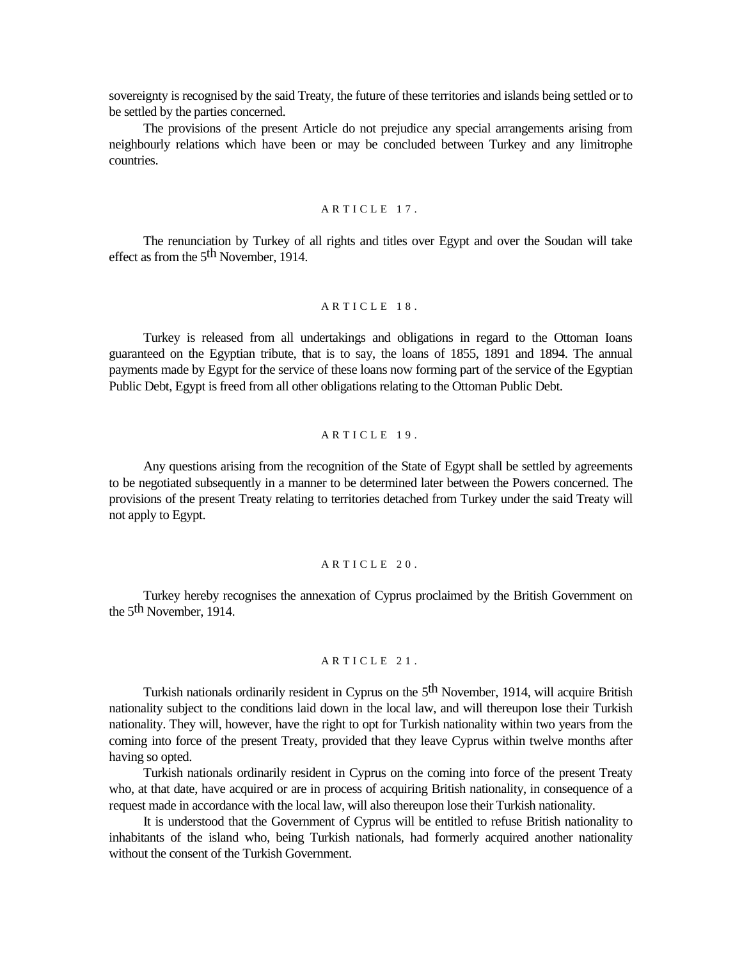sovereignty is recognised by the said Treaty, the future of these territories and islands being settled or to be settled by the parties concerned.

The provisions of the present Article do not prejudice any special arrangements arising from neighbourly relations which have been or may be concluded between Turkey and any limitrophe countries.

### ARTICLE 17.

The renunciation by Turkey of all rights and titles over Egypt and over the Soudan will take effect as from the 5<sup>th</sup> November, 1914.

### ARTICLE 18.

Turkey is released from all undertakings and obligations in regard to the Ottoman Ioans guaranteed on the Egyptian tribute, that is to say, the loans of 1855, 1891 and 1894. The annual payments made by Egypt for the service of these loans now forming part of the service of the Egyptian Public Debt, Egypt is freed from all other obligations relating to the Ottoman Public Debt.

#### ARTICLE 19.

Any questions arising from the recognition of the State of Egypt shall be settled by agreements to be negotiated subsequently in a manner to be determined later between the Powers concerned. The provisions of the present Treaty relating to territories detached from Turkey under the said Treaty will not apply to Egypt.

#### ARTICLE 20.

Turkey hereby recognises the annexation of Cyprus proclaimed by the British Government on the 5<sup>th</sup> November, 1914.

### ARTICLE 21.

Turkish nationals ordinarily resident in Cyprus on the 5<sup>th</sup> November, 1914, will acquire British nationality subject to the conditions laid down in the local law, and will thereupon lose their Turkish nationality. They will, however, have the right to opt for Turkish nationality within two years from the coming into force of the present Treaty, provided that they leave Cyprus within twelve months after having so opted.

Turkish nationals ordinarily resident in Cyprus on the coming into force of the present Treaty who, at that date, have acquired or are in process of acquiring British nationality, in consequence of a request made in accordance with the local law, will also thereupon lose their Turkish nationality.

It is understood that the Government of Cyprus will be entitled to refuse British nationality to inhabitants of the island who, being Turkish nationals, had formerly acquired another nationality without the consent of the Turkish Government.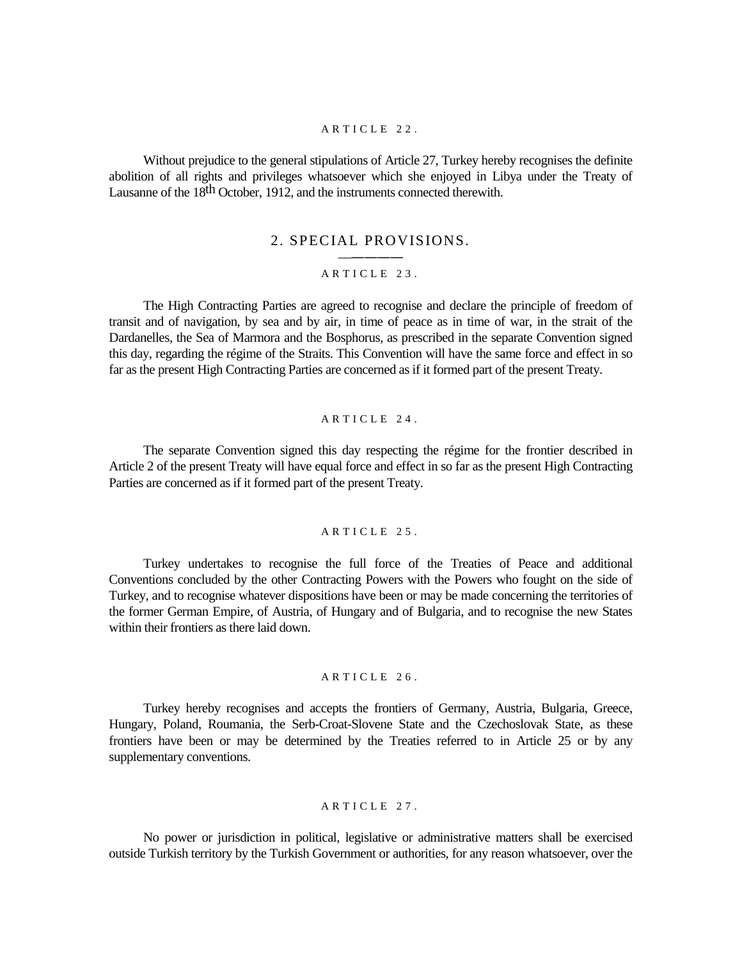### ARTICLE 22.

Without prejudice to the general stipulations of Article 27, Turkey hereby recognises the definite abolition of all rights and privileges whatsoever which she enjoyed in Libya under the Treaty of Lausanne of the 18<sup>th</sup> October, 1912, and the instruments connected therewith.

### 2. SPECIAL PROVISIONS. ––――――

### ARTICLE 23.

The High Contracting Parties are agreed to recognise and declare the principle of freedom of transit and of navigation, by sea and by air, in time of peace as in time of war, in the strait of the Dardanelles, the Sea of Marmora and the Bosphorus, as prescribed in the separate Convention signed this day, regarding the régime of the Straits. This Convention will have the same force and effect in so far as the present High Contracting Parties are concerned as if it formed part of the present Treaty.

#### ARTICLE 24.

The separate Convention signed this day respecting the régime for the frontier described in Article 2 of the present Treaty will have equal force and effect in so far as the present High Contracting Parties are concerned as if it formed part of the present Treaty.

#### ARTICLE 25.

Turkey undertakes to recognise the full force of the Treaties of Peace and additional Conventions concluded by the other Contracting Powers with the Powers who fought on the side of Turkey, and to recognise whatever dispositions have been or may be made concerning the territories of the former German Empire, of Austria, of Hungary and of Bulgaria, and to recognise the new States within their frontiers as there laid down.

### ARTICLE 26.

Turkey hereby recognises and accepts the frontiers of Germany, Austria, Bulgaria, Greece, Hungary, Poland, Roumania, the Serb-Croat-Slovene State and the Czechoslovak State, as these frontiers have been or may be determined by the Treaties referred to in Article 25 or by any supplementary conventions.

#### ARTICLE 27.

No power or jurisdiction in political, legislative or administrative matters shall be exercised outside Turkish territory by the Turkish Government or authorities, for any reason whatsoever, over the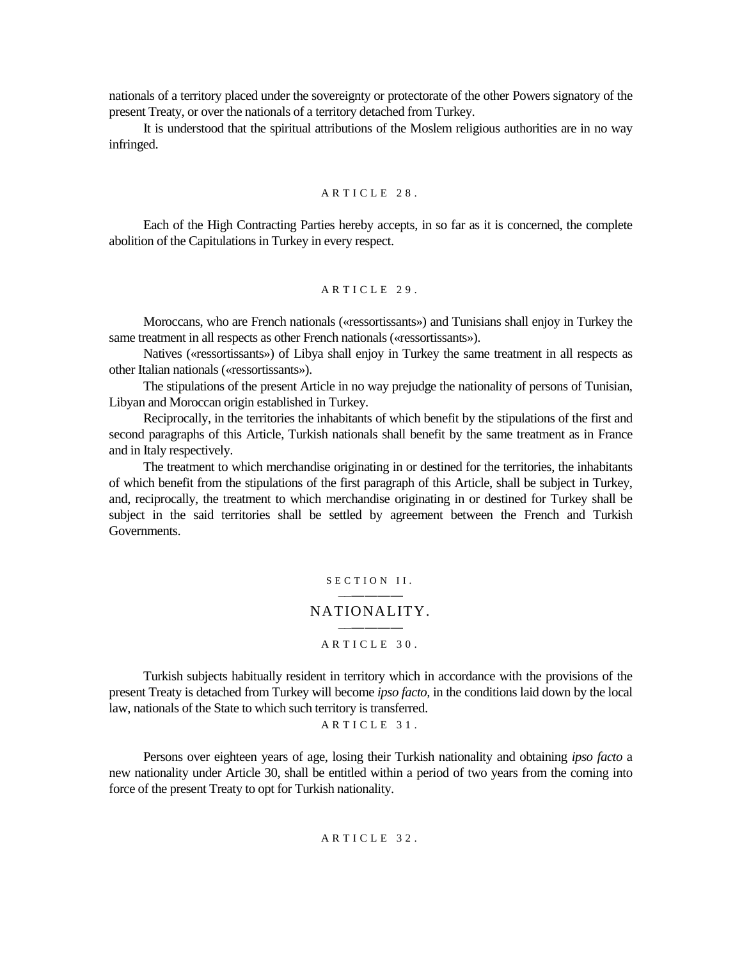nationals of a territory placed under the sovereignty or protectorate of the other Powers signatory of the present Treaty, or over the nationals of a territory detached from Turkey.

It is understood that the spiritual attributions of the Moslem religious authorities are in no way infringed.

### ARTICLE 28.

Each of the High Contracting Parties hereby accepts, in so far as it is concerned, the complete abolition of the Capitulations in Turkey in every respect.

#### ARTICLE 29.

Moroccans, who are French nationals («ressortissants») and Tunisians shall enjoy in Turkey the same treatment in all respects as other French nationals («ressortissants»).

Natives («ressortissants») of Libya shall enjoy in Turkey the same treatment in all respects as other Italian nationals («ressortissants»).

The stipulations of the present Article in no way prejudge the nationality of persons of Tunisian, Libyan and Moroccan origin established in Turkey.

Reciprocally, in the territories the inhabitants of which benefit by the stipulations of the first and second paragraphs of this Article, Turkish nationals shall benefit by the same treatment as in France and in Italy respectively.

The treatment to which merchandise originating in or destined for the territories, the inhabitants of which benefit from the stipulations of the first paragraph of this Article, shall be subject in Turkey, and, reciprocally, the treatment to which merchandise originating in or destined for Turkey shall be subject in the said territories shall be settled by agreement between the French and Turkish Governments.

### SECTION II. ––――――

### NATIONALITY. ––――――

#### ARTICLE 30.

Turkish subjects habitually resident in territory which in accordance with the provisions of the present Treaty is detached from Turkey will become *ipso facto,* in the conditions laid down by the local law, nationals of the State to which such territory is transferred.

### ARTICLE 31.

Persons over eighteen years of age, losing their Turkish nationality and obtaining *ipso facto* a new nationality under Article 30, shall be entitled within a period of two years from the coming into force of the present Treaty to opt for Turkish nationality.

### ARTICLE 32.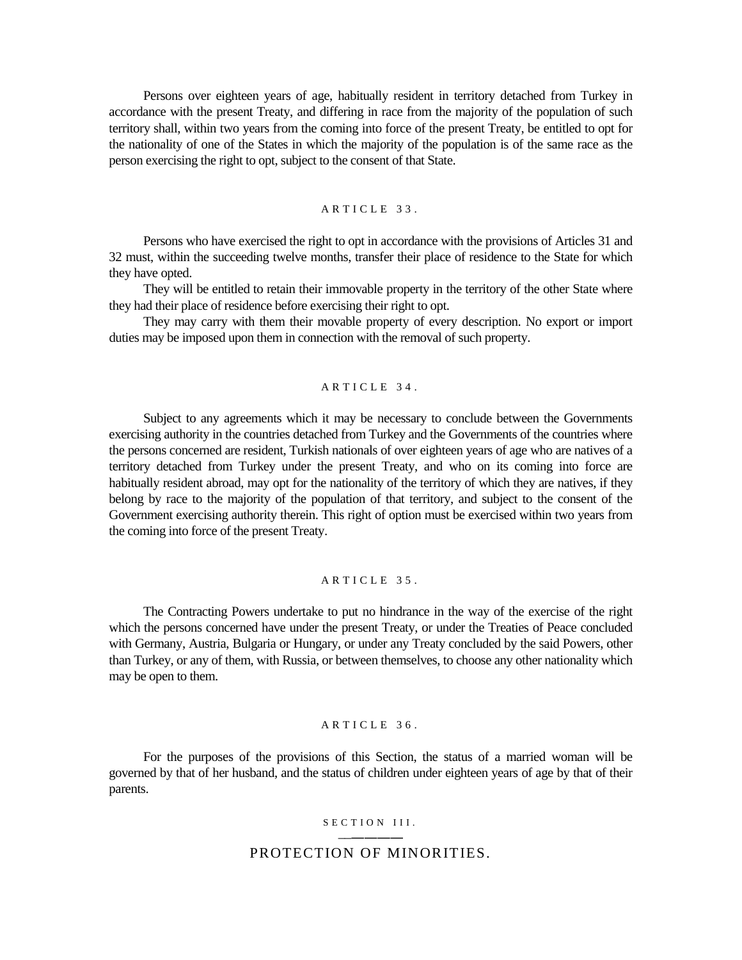Persons over eighteen years of age, habitually resident in territory detached from Turkey in accordance with the present Treaty, and differing in race from the majority of the population of such territory shall, within two years from the coming into force of the present Treaty, be entitled to opt for the nationality of one of the States in which the majority of the population is of the same race as the person exercising the right to opt, subject to the consent of that State.

#### ARTICLE 33.

Persons who have exercised the right to opt in accordance with the provisions of Articles 31 and 32 must, within the succeeding twelve months, transfer their place of residence to the State for which they have opted.

They will be entitled to retain their immovable property in the territory of the other State where they had their place of residence before exercising their right to opt.

They may carry with them their movable property of every description. No export or import duties may be imposed upon them in connection with the removal of such property.

### ARTICLE 34.

Subject to any agreements which it may be necessary to conclude between the Governments exercising authority in the countries detached from Turkey and the Governments of the countries where the persons concerned are resident, Turkish nationals of over eighteen years of age who are natives of a territory detached from Turkey under the present Treaty, and who on its coming into force are habitually resident abroad, may opt for the nationality of the territory of which they are natives, if they belong by race to the majority of the population of that territory, and subject to the consent of the Government exercising authority therein. This right of option must be exercised within two years from the coming into force of the present Treaty.

### ARTICLE 35.

The Contracting Powers undertake to put no hindrance in the way of the exercise of the right which the persons concerned have under the present Treaty, or under the Treaties of Peace concluded with Germany, Austria, Bulgaria or Hungary, or under any Treaty concluded by the said Powers, other than Turkey, or any of them, with Russia, or between themselves, to choose any other nationality which may be open to them.

#### ARTICLE 36.

For the purposes of the provisions of this Section, the status of a married woman will be governed by that of her husband, and the status of children under eighteen years of age by that of their parents.

#### SECTION III.

### ––―――― PROTECTION OF MINORITIES.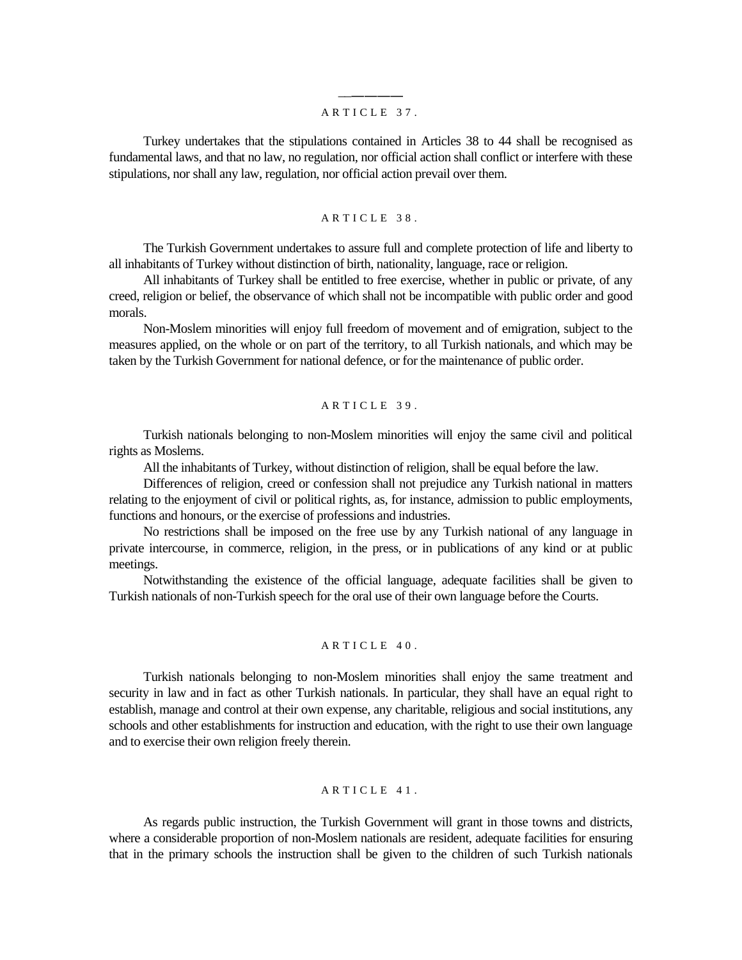### ––―――― ARTICLE 37.

Turkey undertakes that the stipulations contained in Articles 38 to 44 shall be recognised as fundamental laws, and that no law, no regulation, nor official action shall conflict or interfere with these stipulations, nor shall any law, regulation, nor official action prevail over them.

ARTICLE 38.

The Turkish Government undertakes to assure full and complete protection of life and liberty to all inhabitants of Turkey without distinction of birth, nationality, language, race or religion.

All inhabitants of Turkey shall be entitled to free exercise, whether in public or private, of any creed, religion or belief, the observance of which shall not be incompatible with public order and good morals.

Non-Moslem minorities will enjoy full freedom of movement and of emigration, subject to the measures applied, on the whole or on part of the territory, to all Turkish nationals, and which may be taken by the Turkish Government for national defence, or for the maintenance of public order.

#### ARTICLE 39.

Turkish nationals belonging to non-Moslem minorities will enjoy the same civil and political rights as Moslems.

All the inhabitants of Turkey, without distinction of religion, shall be equal before the law.

Differences of religion, creed or confession shall not prejudice any Turkish national in matters relating to the enjoyment of civil or political rights, as, for instance, admission to public employments, functions and honours, or the exercise of professions and industries.

No restrictions shall be imposed on the free use by any Turkish national of any language in private intercourse, in commerce, religion, in the press, or in publications of any kind or at public meetings.

Notwithstanding the existence of the official language, adequate facilities shall be given to Turkish nationals of non-Turkish speech for the oral use of their own language before the Courts.

#### ARTICLE 40.

Turkish nationals belonging to non-Moslem minorities shall enjoy the same treatment and security in law and in fact as other Turkish nationals. In particular, they shall have an equal right to establish, manage and control at their own expense, any charitable, religious and social institutions, any schools and other establishments for instruction and education, with the right to use their own language and to exercise their own religion freely therein.

#### ARTICLE 41.

As regards public instruction, the Turkish Government will grant in those towns and districts, where a considerable proportion of non-Moslem nationals are resident, adequate facilities for ensuring that in the primary schools the instruction shall be given to the children of such Turkish nationals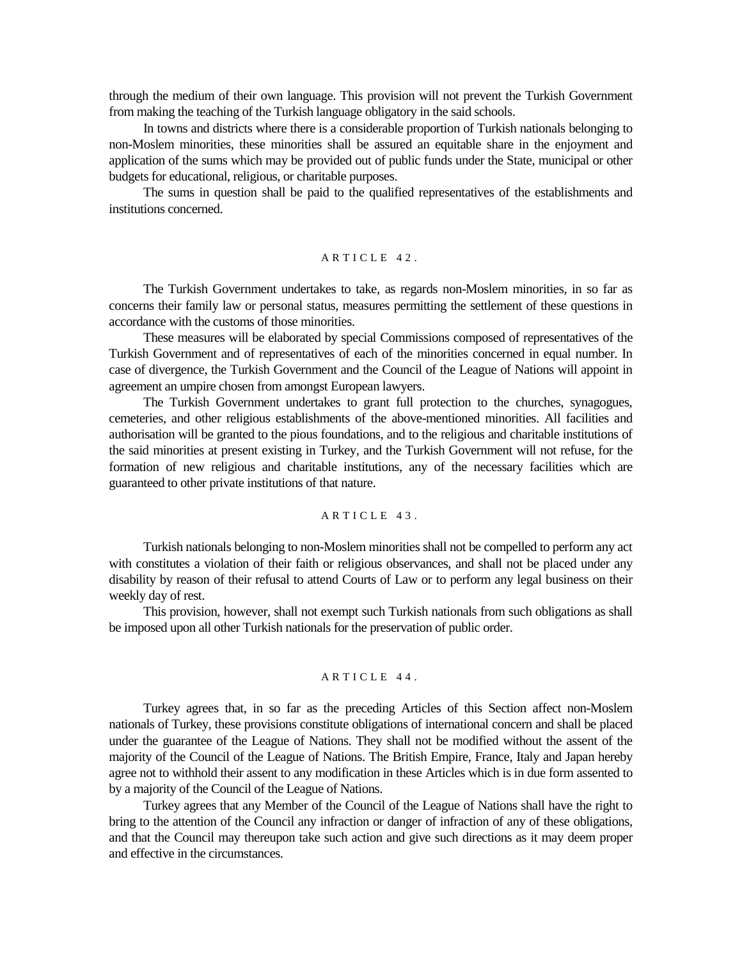through the medium of their own language. This provision will not prevent the Turkish Government from making the teaching of the Turkish language obligatory in the said schools.

In towns and districts where there is a considerable proportion of Turkish nationals belonging to non-Moslem minorities, these minorities shall be assured an equitable share in the enjoyment and application of the sums which may be provided out of public funds under the State, municipal or other budgets for educational, religious, or charitable purposes.

The sums in question shall be paid to the qualified representatives of the establishments and institutions concerned.

#### ARTICLE 42.

The Turkish Government undertakes to take, as regards non-Moslem minorities, in so far as concerns their family law or personal status, measures permitting the settlement of these questions in accordance with the customs of those minorities.

These measures will be elaborated by special Commissions composed of representatives of the Turkish Government and of representatives of each of the minorities concerned in equal number. In case of divergence, the Turkish Government and the Council of the League of Nations will appoint in agreement an umpire chosen from amongst European lawyers.

The Turkish Government undertakes to grant full protection to the churches, synagogues, cemeteries, and other religious establishments of the above-mentioned minorities. All facilities and authorisation will be granted to the pious foundations, and to the religious and charitable institutions of the said minorities at present existing in Turkey, and the Turkish Government will not refuse, for the formation of new religious and charitable institutions, any of the necessary facilities which are guaranteed to other private institutions of that nature.

#### ARTICLE 43.

Turkish nationals belonging to non-Moslem minorities shall not be compelled to perform any act with constitutes a violation of their faith or religious observances, and shall not be placed under any disability by reason of their refusal to attend Courts of Law or to perform any legal business on their weekly day of rest.

This provision, however, shall not exempt such Turkish nationals from such obligations as shall be imposed upon all other Turkish nationals for the preservation of public order.

### ARTICLE 44.

Turkey agrees that, in so far as the preceding Articles of this Section affect non-Moslem nationals of Turkey, these provisions constitute obligations of international concern and shall be placed under the guarantee of the League of Nations. They shall not be modified without the assent of the majority of the Council of the League of Nations. The British Empire, France, Italy and Japan hereby agree not to withhold their assent to any modification in these Articles which is in due form assented to by a majority of the Council of the League of Nations.

Turkey agrees that any Member of the Council of the League of Nations shall have the right to bring to the attention of the Council any infraction or danger of infraction of any of these obligations, and that the Council may thereupon take such action and give such directions as it may deem proper and effective in the circumstances.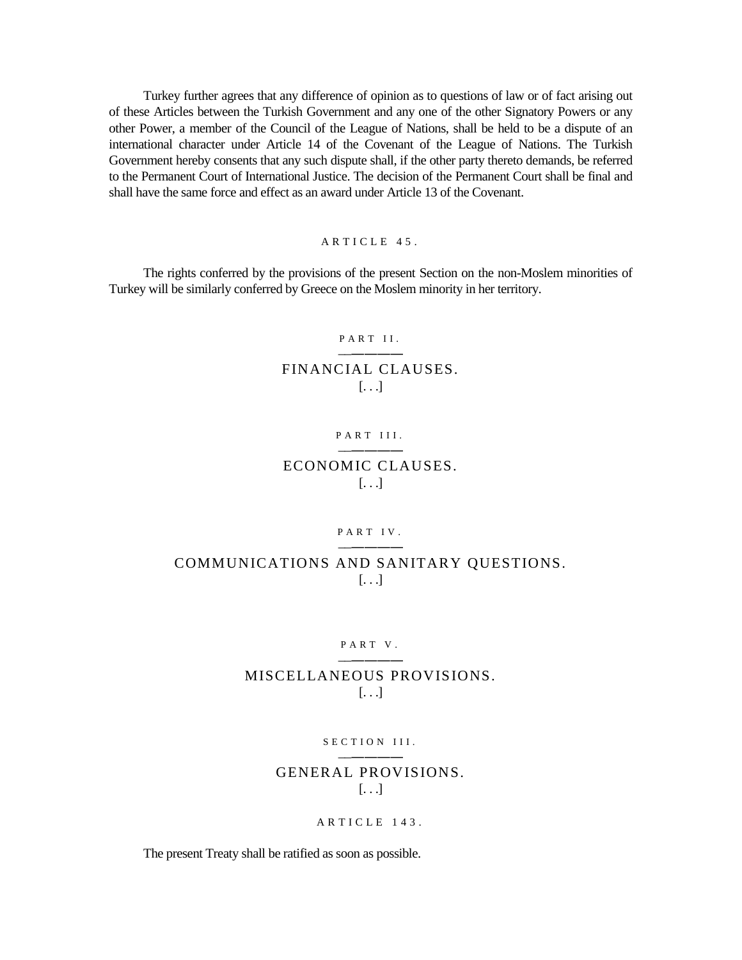Turkey further agrees that any difference of opinion as to questions of law or of fact arising out of these Articles between the Turkish Government and any one of the other Signatory Powers or any other Power, a member of the Council of the League of Nations, shall be held to be a dispute of an international character under Article 14 of the Covenant of the League of Nations. The Turkish Government hereby consents that any such dispute shall, if the other party thereto demands, be referred to the Permanent Court of International Justice. The decision of the Permanent Court shall be final and shall have the same force and effect as an award under Article 13 of the Covenant.

### ARTICLE 45.

The rights conferred by the provisions of the present Section on the non-Moslem minorities of Turkey will be similarly conferred by Greece on the Moslem minority in her territory.

### PART II. ––――――

## FINANCIAL CLAUSES.  $[\ldots]$

### PART III. ––――――

### ECONOMIC CLAUSES.  $[\ldots]$

### PART IV. ––――――

# COMMUNICATIONS AND SANITARY QUESTIONS.  $[\ldots]$

#### PART V.

### ––―――― MISCELLANEOUS PROVISIONS.  $[\ldots]$

### SECTION III. ––――――

### GENERAL PROVISIONS.  $[\ldots]$

#### ARTICLE 1 43.

The present Treaty shall be ratified as soon as possible.